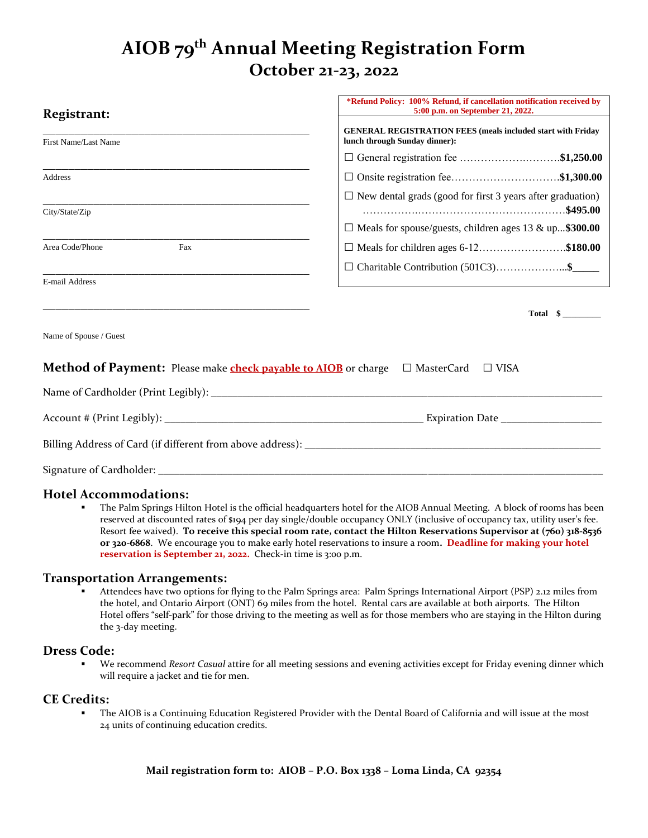# **AIOB 79 th Annual Meeting Registration Form October 21-23, 2022**

**\*Refund Policy: 100% Refund, if cancellation notification received by**

| <b>Registrant:</b>                                                    | " Refund Foncy; Too 76 Refund, if cancenation hourication received by<br>5:00 p.m. on September 21, 2022. |
|-----------------------------------------------------------------------|-----------------------------------------------------------------------------------------------------------|
| First Name/Last Name                                                  | <b>GENERAL REGISTRATION FEES (meals included start with Friday</b><br>lunch through Sunday dinner):       |
|                                                                       | □ General registration fee \$1,250.00                                                                     |
| <b>Address</b>                                                        | □ Onsite registration fee\$1,300.00                                                                       |
| City/State/Zip                                                        | $\Box$ New dental grads (good for first 3 years after graduation)                                         |
|                                                                       | $\Box$ Meals for spouse/guests, children ages 13 & up\$300.00                                             |
| Area Code/Phone<br>Fax                                                | $\Box$ Meals for children ages 6-12\$180.00                                                               |
|                                                                       | □ Charitable Contribution (501C3)\$                                                                       |
| E-mail Address                                                        |                                                                                                           |
|                                                                       | Total $\quad \quad \bullet$                                                                               |
| Name of Spouse / Guest                                                |                                                                                                           |
| Method of Payment: Please make <b>check payable to AIOB</b> or charge | $\Box$ MasterCard<br>$\Box$ VISA                                                                          |
|                                                                       |                                                                                                           |
|                                                                       |                                                                                                           |
|                                                                       |                                                                                                           |
|                                                                       |                                                                                                           |

### **Hotel Accommodations:**

**• The Palm Springs Hilton Hotel is the official headquarters hotel for the AIOB Annual Meeting. A block of rooms has been** reserved at discounted rates of \$194 per day single/double occupancy ONLY (inclusive of occupancy tax, utility user's fee. Resort fee waived). **To receive this special room rate, contact the Hilton Reservations Supervisor at (760) 318-8536 or 320-6868**. We encourage you to make early hotel reservations to insure a room**. Deadline for making your hotel reservation is September 21, 2022.** Check-in time is 3:00 p.m.

#### **Transportation Arrangements:**

Attendees have two options for flying to the Palm Springs area: Palm Springs International Airport (PSP) 2.12 miles from the hotel, and Ontario Airport (ONT) 69 miles from the hotel. Rental cars are available at both airports. The Hilton Hotel offers "self-park" for those driving to the meeting as well as for those members who are staying in the Hilton during the 3-day meeting.

#### **Dress Code:**

We recommend *Resort Casual* attire for all meeting sessions and evening activities except for Friday evening dinner which will require a jacket and tie for men.

#### **CE Credits:**

The AIOB is a Continuing Education Registered Provider with the Dental Board of California and will issue at the most 24 units of continuing education credits.